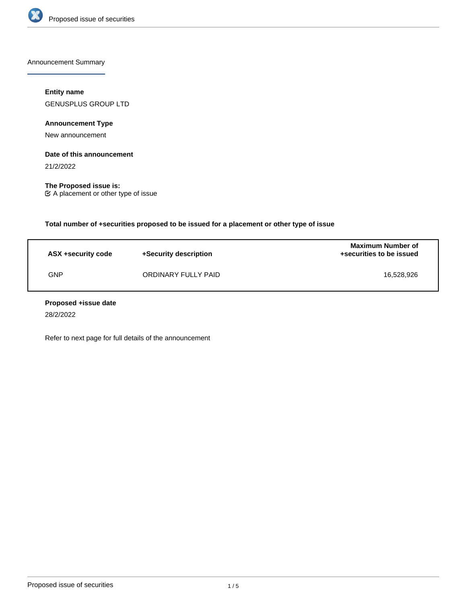

Announcement Summary

## **Entity name**

GENUSPLUS GROUP LTD

**Announcement Type**

New announcement

## **Date of this announcement**

21/2/2022

**The Proposed issue is:** A placement or other type of issue

**Total number of +securities proposed to be issued for a placement or other type of issue**

| ASX +security code | +Security description | <b>Maximum Number of</b><br>+securities to be issued |
|--------------------|-----------------------|------------------------------------------------------|
| GNP                | ORDINARY FULLY PAID   | 16.528.926                                           |

### **Proposed +issue date**

28/2/2022

Refer to next page for full details of the announcement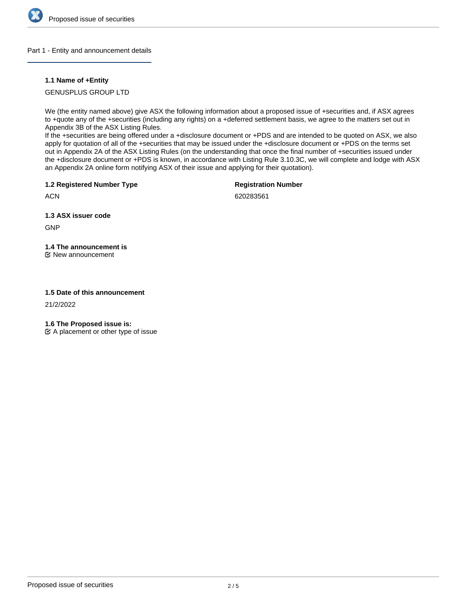

### Part 1 - Entity and announcement details

### **1.1 Name of +Entity**

GENUSPLUS GROUP LTD

We (the entity named above) give ASX the following information about a proposed issue of +securities and, if ASX agrees to +quote any of the +securities (including any rights) on a +deferred settlement basis, we agree to the matters set out in Appendix 3B of the ASX Listing Rules.

If the +securities are being offered under a +disclosure document or +PDS and are intended to be quoted on ASX, we also apply for quotation of all of the +securities that may be issued under the +disclosure document or +PDS on the terms set out in Appendix 2A of the ASX Listing Rules (on the understanding that once the final number of +securities issued under the +disclosure document or +PDS is known, in accordance with Listing Rule 3.10.3C, we will complete and lodge with ASX an Appendix 2A online form notifying ASX of their issue and applying for their quotation).

**1.2 Registered Number Type**

**Registration Number**

**ACN** 

620283561

**1.3 ASX issuer code**

GNP

# **1.4 The announcement is**

New announcement

## **1.5 Date of this announcement**

21/2/2022

**1.6 The Proposed issue is:**

 $\mathfrak{C}$  A placement or other type of issue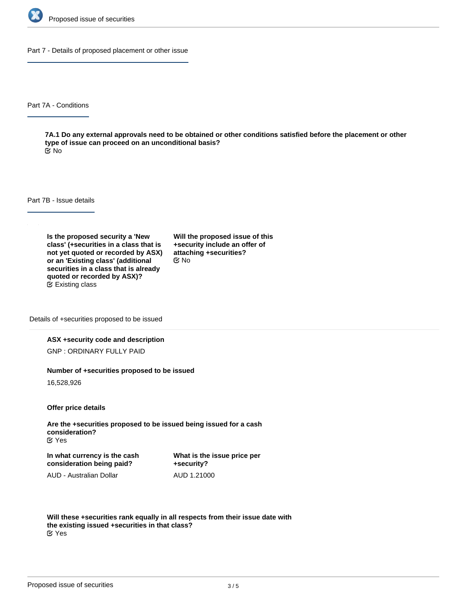

Part 7 - Details of proposed placement or other issue

Part 7A - Conditions

**7A.1 Do any external approvals need to be obtained or other conditions satisfied before the placement or other type of issue can proceed on an unconditional basis?** No

Part 7B - Issue details

**Is the proposed security a 'New class' (+securities in a class that is not yet quoted or recorded by ASX) or an 'Existing class' (additional securities in a class that is already quoted or recorded by ASX)?** Existing class

**Will the proposed issue of this +security include an offer of attaching +securities?** No

Details of +securities proposed to be issued

#### **ASX +security code and description**

GNP : ORDINARY FULLY PAID

#### **Number of +securities proposed to be issued**

16,528,926

**Offer price details**

**Are the +securities proposed to be issued being issued for a cash consideration?** Yes

**In what currency is the cash consideration being paid?**

**What is the issue price per +security?** AUD 1.21000

AUD - Australian Dollar

**Will these +securities rank equally in all respects from their issue date with the existing issued +securities in that class?** Yes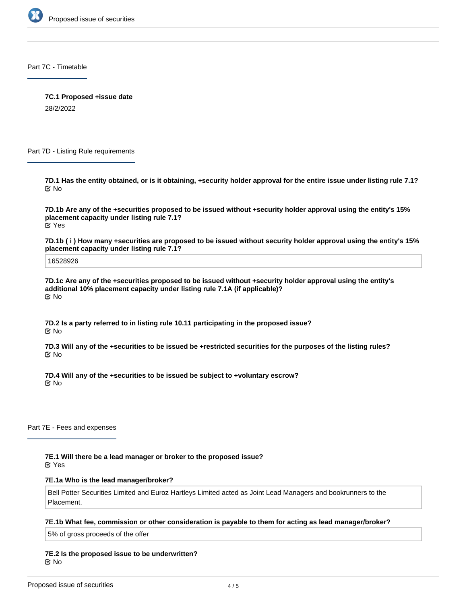

Part 7C - Timetable

**7C.1 Proposed +issue date**

28/2/2022

Part 7D - Listing Rule requirements

**7D.1 Has the entity obtained, or is it obtaining, +security holder approval for the entire issue under listing rule 7.1?** No

**7D.1b Are any of the +securities proposed to be issued without +security holder approval using the entity's 15% placement capacity under listing rule 7.1?** Yes

**7D.1b ( i ) How many +securities are proposed to be issued without security holder approval using the entity's 15% placement capacity under listing rule 7.1?**

16528926

**7D.1c Are any of the +securities proposed to be issued without +security holder approval using the entity's additional 10% placement capacity under listing rule 7.1A (if applicable)?** No

**7D.2 Is a party referred to in listing rule 10.11 participating in the proposed issue?** No

**7D.3 Will any of the +securities to be issued be +restricted securities for the purposes of the listing rules?** No

**7D.4 Will any of the +securities to be issued be subject to +voluntary escrow?** No

Part 7E - Fees and expenses

**7E.1 Will there be a lead manager or broker to the proposed issue?**

Yes

### **7E.1a Who is the lead manager/broker?**

Bell Potter Securities Limited and Euroz Hartleys Limited acted as Joint Lead Managers and bookrunners to the Placement.

### **7E.1b What fee, commission or other consideration is payable to them for acting as lead manager/broker?**

5% of gross proceeds of the offer

**7E.2 Is the proposed issue to be underwritten?** No